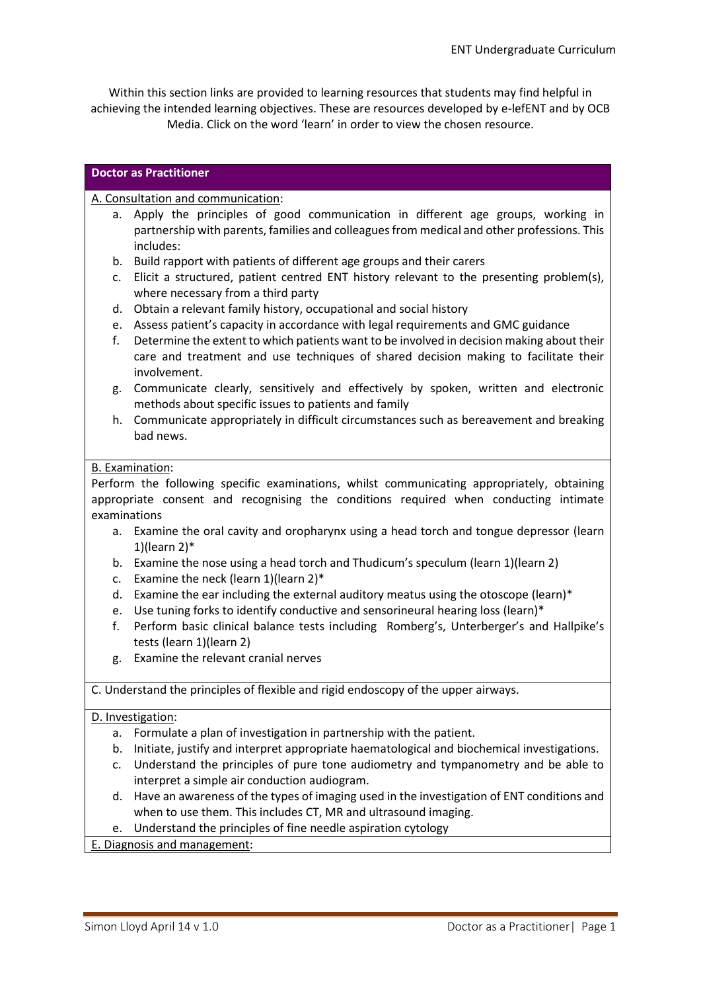Within this section links are provided to learning resources that students may find helpful in achieving the intended learning objectives. These are resources developed by e-lefENT and by OCB Media. Click on the word 'learn' in order to view the chosen resource.

## **Doctor as Practitioner**

## A. Consultation and communication:

- a. Apply the principles of good communication in different age groups, working in partnership with parents, families and colleagues from medical and other professions. This includes:
- b. Build rapport with patients of different age groups and their carers
- c. Elicit a structured, patient centred ENT history relevant to the presenting problem(s), where necessary from a third party
- d. Obtain a relevant family history, occupational and social history
- e. Assess patient's capacity in accordance with legal requirements and GMC guidance
- f. Determine the extent to which patients want to be involved in decision making about their care and treatment and use techniques of shared decision making to facilitate their involvement.
- g. Communicate clearly, sensitively and effectively by spoken, written and electronic methods about specific issues to patients and family
- h. Communicate appropriately in difficult circumstances such as bereavement and breaking bad news.

## B. Examination:

Perform the following specific examinations, whilst communicating appropriately, obtaining appropriate consent and recognising the conditions required when conducting intimate examinations

- a. Examine the oral cavity and oropharynx using a head torch and tongue depressor (learn 1)(learn 2)\*
- b. Examine the nose using a head torch and Thudicum's speculum (learn 1)(learn 2)
- c. Examine the neck (learn 1)(learn 2)\*
- d. Examine the ear including the external auditory meatus using the otoscope (learn)\*
- e. Use tuning forks to identify conductive and sensorineural hearing loss (learn)\*
- f. Perform basic clinical balance tests including Romberg's, Unterberger's and Hallpike's tests (learn 1)(learn 2)
- g. Examine the relevant cranial nerves

C. Understand the principles of flexible and rigid endoscopy of the upper airways.

## D. Investigation:

- a. Formulate a plan of investigation in partnership with the patient.
- b. Initiate, justify and interpret appropriate haematological and biochemical investigations.
- c. Understand the principles of pure tone audiometry and tympanometry and be able to interpret a simple air conduction audiogram.
- d. Have an awareness of the types of imaging used in the investigation of ENT conditions and when to use them. This includes CT, MR and ultrasound imaging.
- e. Understand the principles of fine needle aspiration cytology

E. Diagnosis and management: